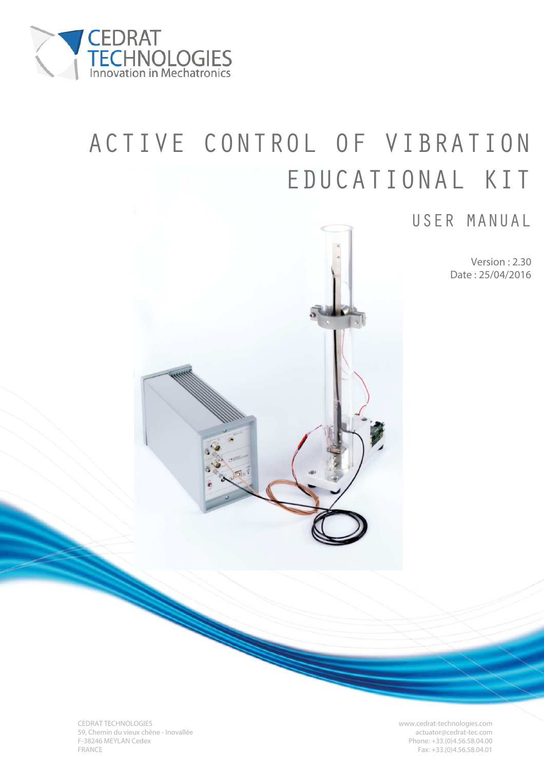

# ACTIVE CONTROL OF VIBRATION EDUCATIONAL KIT

# USER MANUAL

Version : 2.30 Date : 25/04/2016

CEDRAT TECHNOLOGIES www.cedrat-technologies.com 59, Chemin du vieux chêne - Inovallée actuator et al. et al. et al. et al. et al. et al. et al. et al. et al. et a<br>F-38246 MEYLAN Cedex Phone: +33.(0)4.56.58.04.00 F-38246 MEYLAN Cedex Phone: +33.(0)4.56.58.04.00<br>FRANCE Phone: +33.(0)4.56.58.04.00

 $Fax: +33.(0)4.56.58.04.01$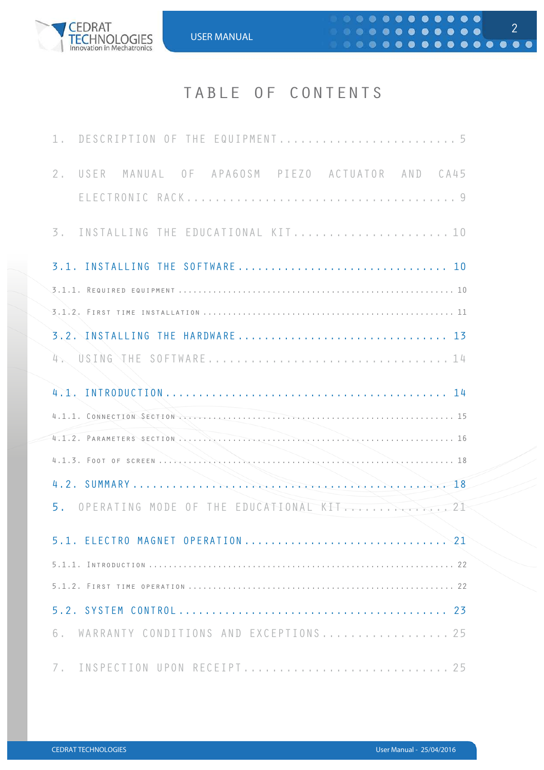

# TABLE OF CONTENTS

| 2. USER MANUAL OF APA6OSM PIEZO ACTUATOR AND CA45                                                                                                                                                                             |
|-------------------------------------------------------------------------------------------------------------------------------------------------------------------------------------------------------------------------------|
| 3. INSTALLING THE EDUCATIONAL KIT 10                                                                                                                                                                                          |
| 3.1. INSTALLING THE SOFTWARE  10                                                                                                                                                                                              |
|                                                                                                                                                                                                                               |
| 3.2. INSTALLING THE HARDWARE 13                                                                                                                                                                                               |
|                                                                                                                                                                                                                               |
|                                                                                                                                                                                                                               |
| 4.1.1. CONNECTION SECTION Records and the contract of the contract of the contract of the second section of the second section of the second section of the second section of the second section of the second section of the |
|                                                                                                                                                                                                                               |
|                                                                                                                                                                                                                               |
|                                                                                                                                                                                                                               |
|                                                                                                                                                                                                                               |
| 5. OPERATING MODE OF THE EDUCATIONAL KIT.                                                                                                                                                                                     |
|                                                                                                                                                                                                                               |
|                                                                                                                                                                                                                               |
|                                                                                                                                                                                                                               |
|                                                                                                                                                                                                                               |
| WARRANTY CONDITIONS AND EXCEPTIONS 25<br>6.                                                                                                                                                                                   |

2

 $\n **• • • • • • • • • • • • • • • • • • • • • • • • • • • • • • •** <$ 

 $0.0.00000000000000$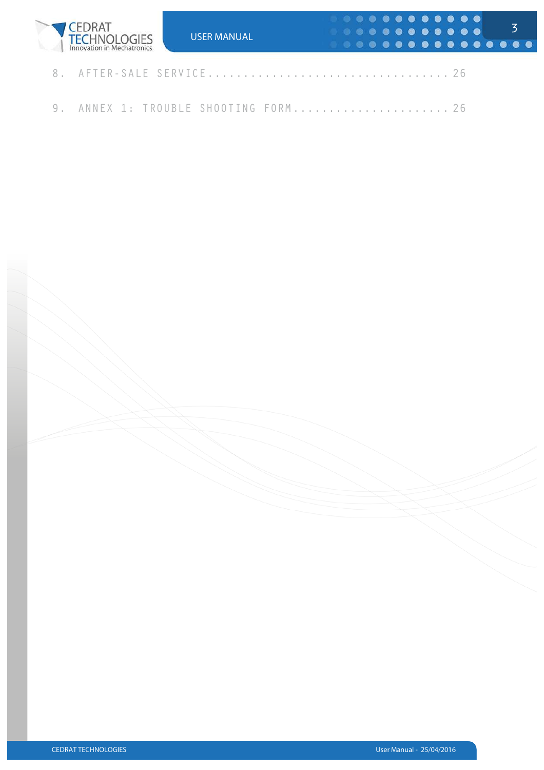

9. ANNEX 1: TROUBLE SHOOTING FORM........................ 26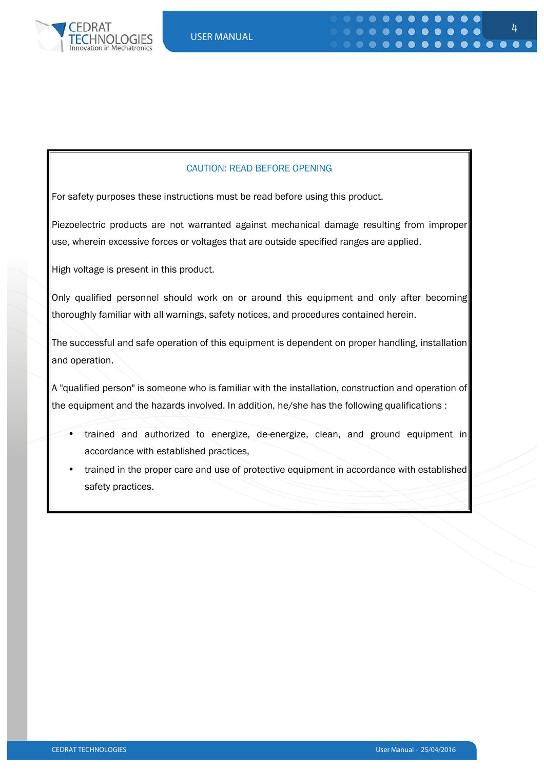

#### CAUTION: READ BEFORE OPENING

For safety purposes these instructions must be read before using this product.

Piezoelectric products are not warranted against mechanical damage resulting from improper use, wherein excessive forces or voltages that are outside specified ranges are applied.

High voltage is present in this product.

Only qualified personnel should work on or around this equipment and only after becoming thoroughly familiar with all warnings, safety notices, and procedures contained herein.

The successful and safe operation of this equipment is dependent on proper handling, installation and operation.

A "qualified person" is someone who is familiar with the installation, construction and operation of the equipment and the hazards involved. In addition, he/she has the following qualifications :

- trained and authorized to energize, de-energize, clean, and ground equipment in accordance with established practices,
- trained in the proper care and use of protective equipment in accordance with established safety practices.

4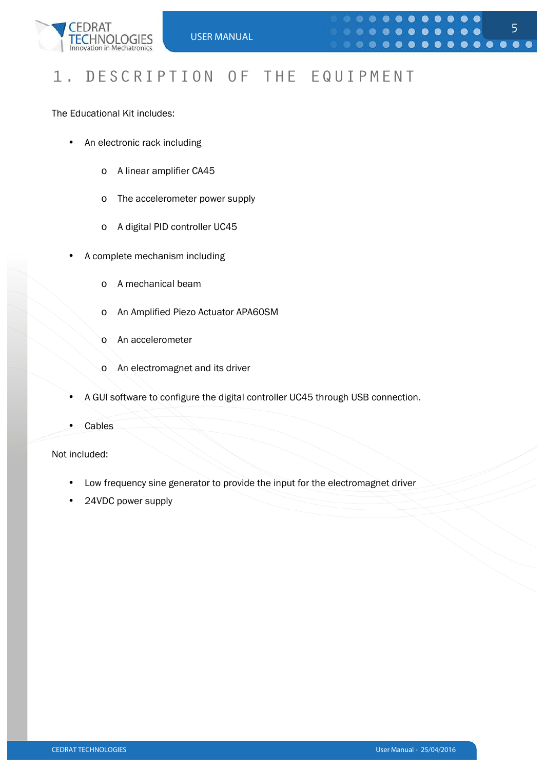

## 1. DESCRIPTION OF THE EQUIPMENT

The Educational Kit includes:

- An electronic rack including
	- o A linear amplifier CA45
	- o The accelerometer power supply
	- o A digital PID controller UC45
- A complete mechanism including
	- o A mechanical beam
	- o An Amplified Piezo Actuator APA60SM
	- o An accelerometer
	- o An electromagnet and its driver
- A GUI software to configure the digital controller UC45 through USB connection.
- **Cables**

Not included:

- Low frequency sine generator to provide the input for the electromagnet driver
- 24VDC power supply

5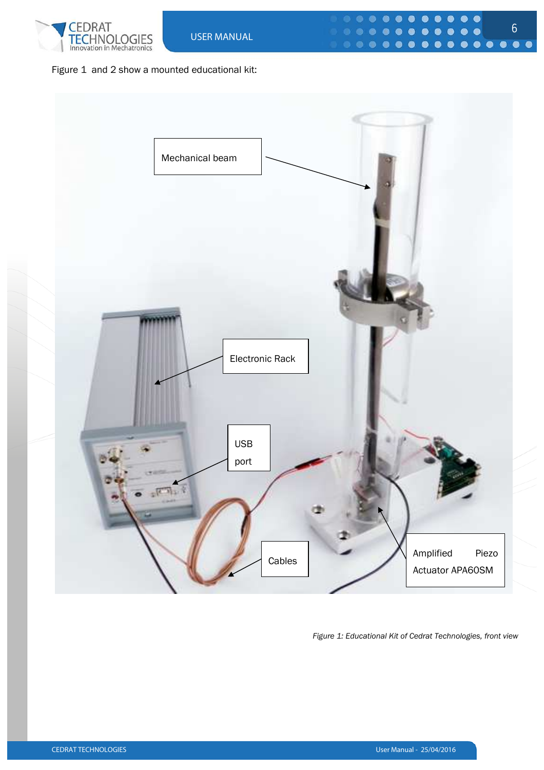



*Figure 1: Educational Kit of Cedrat Technologies, front view* 

6

 $\bullet\bullet\bullet\bullet\bullet$ 

 $\begin{array}{cccccccccccccc} \bullet & \bullet & \bullet & \bullet & \bullet & \bullet & \bullet \end{array}$ 

 $\bullet$  $\bullet$ 

 $\bullet$  $\bullet$  $\bullet$ 

 $\bullet$  $\bullet$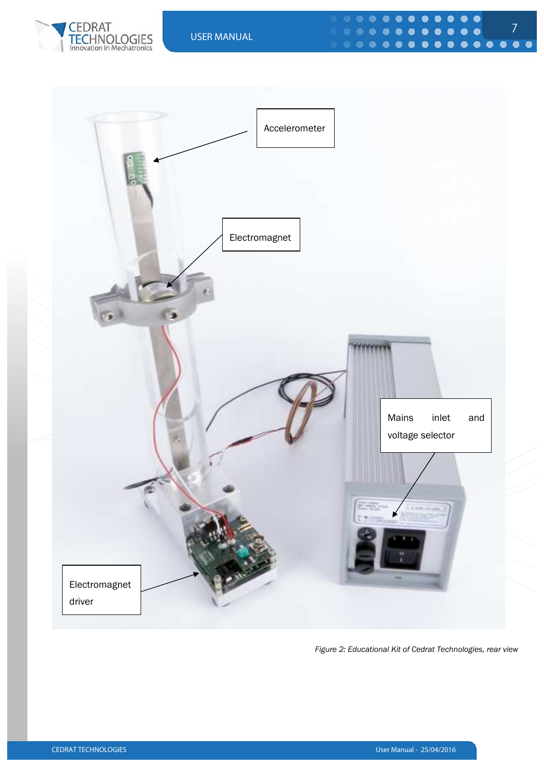



 $\bullet$  $\bullet$  $\bullet$  $\bullet$ 

 $\bullet$ ●



*Figure 2: Educational Kit of Cedrat Technologies, rear view*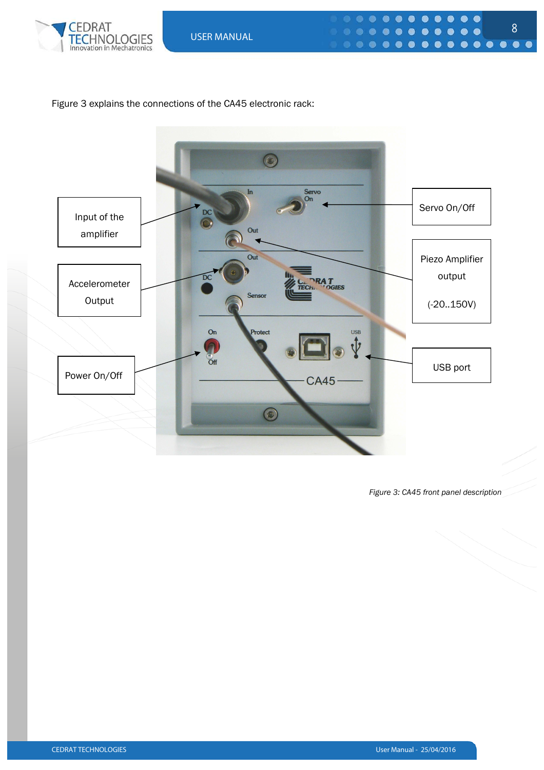

#### Figure 3 explains the connections of the CA45 electronic rack:



*Figure 3: CA45 front panel description*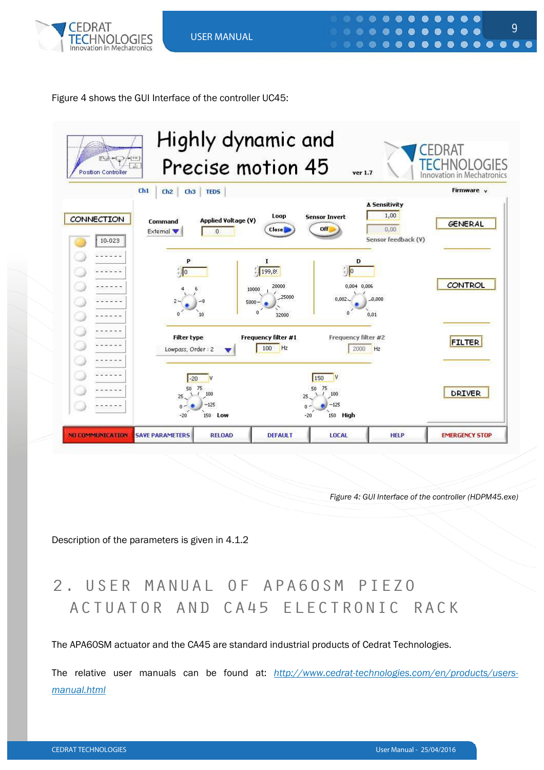

Figure 4 shows the GUI Interface of the controller UC45:



*Figure 4: GUI Interface of the controller (HDPM45.exe)* 

9

 $\bullet\bullet\bullet$ 

 $\begin{array}{ccccccccccccccccc} \circ & \circ & \circ & \circ & \circ & \circ & \circ \end{array}$ 

. .

 $\bullet$ 

 $$ 

 $\bullet$   $\bullet$ 

 $\bullet$ 

Description of the parameters is given in 4.1.2

# 2. USER MANUAL OF APA60SM PIEZO ACTUATOR AND CA45 ELECTRONIC RACK

The APA60SM actuator and the CA45 are standard industrial products of Cedrat Technologies.

The relative user manuals can be found at: *http://www.cedrat-technologies.com/en/products/usersmanual.html*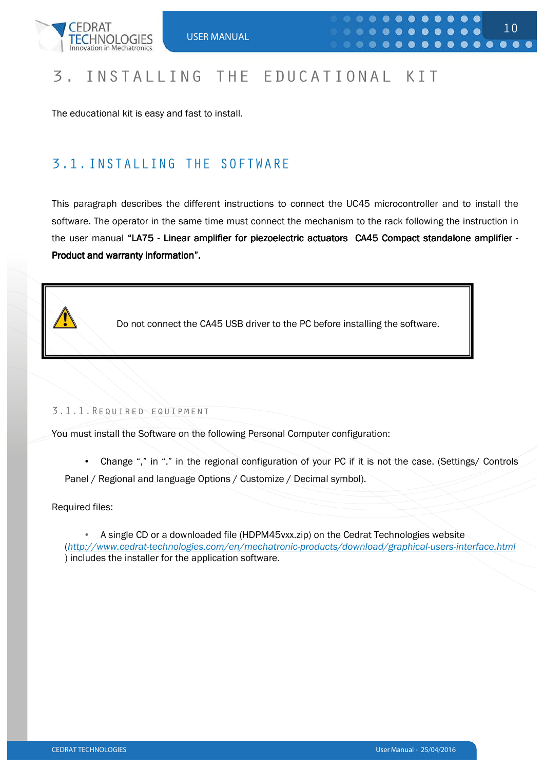

# 3. INSTALLING THE EDUCATIONAL KIT

The educational kit is easy and fast to install.

### 3.1.INSTALLING THE SOFTWARE

This paragraph describes the different instructions to connect the UC45 microcontroller and to install the software. The operator in the same time must connect the mechanism to the rack following the instruction in the user manual "LA75 - Linear amplifier for piezoelectric actuators CA45 Compact standalone amplifier -Product and warranty information".



1

Do not connect the CA45 USB driver to the PC before installing the software.

#### 3.1.1.Required equipment

You must install the Software on the following Personal Computer configuration:

• Change "," in "." in the regional configuration of your PC if it is not the case. (Settings/ Controls Panel / Regional and language Options / Customize / Decimal symbol).

Required files:

• A single CD or a downloaded file (HDPM45vxx.zip) on the Cedrat Technologies website (*http://www.cedrat-technologies.com/en/mechatronic-products/download/graphical-users-interface.html* ) includes the installer for the application software.

10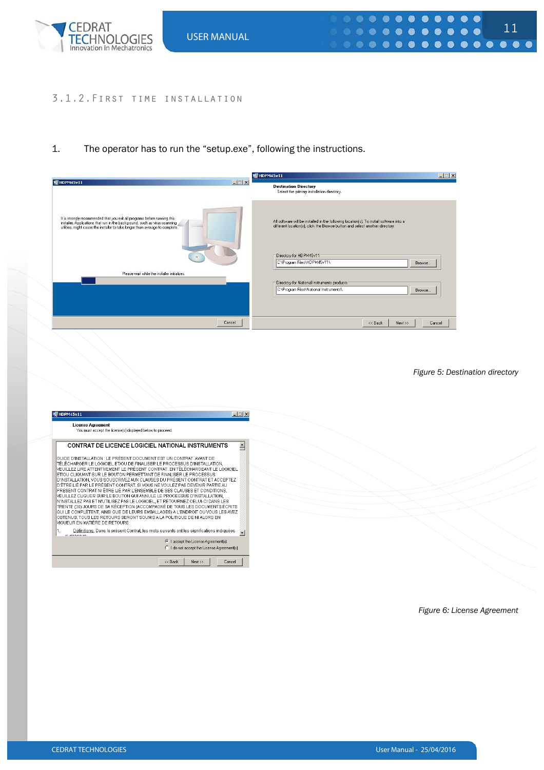

#### 3.1.2.First time installation

#### 1. The operator has to run the "setup.exe", following the instructions.

|                                                                                                                                                                                                                                          | 暖 HDPM45v11<br>$-11x$                                                                                                                                                   |
|------------------------------------------------------------------------------------------------------------------------------------------------------------------------------------------------------------------------------------------|-------------------------------------------------------------------------------------------------------------------------------------------------------------------------|
| 哪 HDPM45v11<br>$ \blacksquare$ $\times$                                                                                                                                                                                                  | <b>Destination Directory</b><br>Select the primary installation directory.                                                                                              |
| It is strongly recommended that you exit all programs before running this<br>installer. Applications that run in the background, such as virus-scanning<br>utilities, might cause the installer to take longer than average to complete. | All software will be installed in the following location(s). To install software into a<br>different location(s), click the Browse button and select another directory. |
|                                                                                                                                                                                                                                          | Directory for HDPM45v11<br>C:\Program Files\HDPM45v11\<br>Browse                                                                                                        |
| Please wait while the installer initializes.                                                                                                                                                                                             |                                                                                                                                                                         |
|                                                                                                                                                                                                                                          | Directory for National Instruments products:                                                                                                                            |
|                                                                                                                                                                                                                                          | C:\Program Files\National Instruments\<br>Browse                                                                                                                        |
|                                                                                                                                                                                                                                          |                                                                                                                                                                         |
| Cancel                                                                                                                                                                                                                                   | $<<$ Back<br>$Next \gg$<br>Cancel                                                                                                                                       |

*Figure 5: Destination directory* 

11

| 暖 HDPM45v11                                                                                                                                                  | $\Box$ |  |
|--------------------------------------------------------------------------------------------------------------------------------------------------------------|--------|--|
| <b>License Agreement</b><br>You must accept the license(s) displayed below to proceed.                                                                       |        |  |
|                                                                                                                                                              |        |  |
| CONTRAT DE LICENCE LOGICIEL NATIONAL INSTRUMENTS                                                                                                             | ≜      |  |
| GUIDE D'INSTALLATION : LE PRÉSENT DOCUMENT EST UN CONTRAT, AVANT DE                                                                                          |        |  |
| TÉLÉCHARGER LE LOGICIEL ET/OU DE FINALISER LE PROCESSUS D'INSTALLATION,                                                                                      |        |  |
| VEUILLEZ LIRE ATTENTIVEMENT LE PRÉSENT CONTRAT. EN TÉLÉCHARGEANT LE LOGICIEL                                                                                 |        |  |
| ET/OU CLIQUANT SUR LE BOUTON PERMETTANT DE FINALISER LE PROCESSUS<br>D'INSTALLATION, VOUS SOUSCRIVEZ AUX CLAUSES DU PRÉSENT CONTRAT ET ACCEPTEZ              |        |  |
| D'ÊTRE LIÉ PAR LE PRÉSENT CONTRAT. SI VOUS NE VOULEZ PAS DEVENIR PARTIE AU                                                                                   |        |  |
| PRESENT CONTRATINIÊTRE LIÉ PAR L'ENSEMBLE DE SES CLAUSES ET CONDITIONS,<br>VEUILLEZ CLIQUER SUR LE BOUTON QUI ANNULE LE PROCESSUS D'INSTALLATION,            |        |  |
| IN'INSTALLEZ PAS ET N'UTILISEZ PAS LE LOGICIEL, ET RETOURNEZ CELUI-CI DANS LES                                                                               |        |  |
| TRENTE (30) JOURS DE SA RÉCEPTION (ACCOMPAGNÉ DE TOUS LES DOCUMENTS ÉCRITS<br>QUI LE COMPLÈTENT, AINSI QUE DE LEURS EMBALLAGES) A L'ENDROIT OU VOUS LES AVEZ |        |  |
| OBTENUS. TOUS LES RETOURS SERONT SOUMIS A LA POLITIQUE DE NI ALORS EN                                                                                        |        |  |
| VIGUEUR EN MATIÈRE DE RETOURS.                                                                                                                               |        |  |
| Définitions. Dans le présent Contrat, les mots suivants ont les significations indiquées<br>Al decembries                                                    |        |  |
| C   accept the License Agreement(s).                                                                                                                         |        |  |
| C I do not accept the License Agreement(s).                                                                                                                  |        |  |
|                                                                                                                                                              |        |  |
| Next<br><< Back<br>Cancel                                                                                                                                    |        |  |

*Figure 6: License Agreement*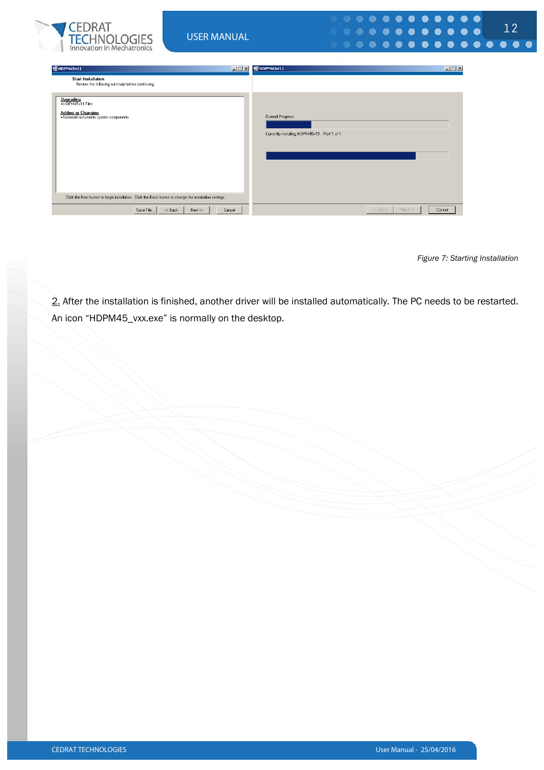| <b>CEDRAT</b><br><b>FECHNOLOGIES</b><br>Innovation in Mechatronics                                                           | <b>USER MANUAL</b>             |                                                                  | $0 0 0 0 0 0 0 0 0 0 0 0 0$<br>12 |
|------------------------------------------------------------------------------------------------------------------------------|--------------------------------|------------------------------------------------------------------|-----------------------------------|
| 雙HDPM45v11<br><b>Start Installation</b><br>Review the following summary before continuing.<br>Upgrading<br>• HDPM45v11 Files | $\Box$                         | 1 HDPM45v11                                                      | $\Box$ $\Box$ $\times$            |
| <b>Adding or Changing</b><br>. National Instruments system components                                                        |                                | Overall Progress<br>Currently installing HDPM45v11. Part 1 of 1. |                                   |
| Click the Next button to begin installation. Click the Back button to change the installation settings.<br>Save File         | << Back<br>Cancel<br>$Next$ >> | << Back                                                          | Cancel<br>Next >>                 |

*Figure 7: Starting Installation* 

2. After the installation is finished, another driver will be installed automatically. The PC needs to be restarted. An icon "HDPM45\_vxx.exe" is normally on the desktop.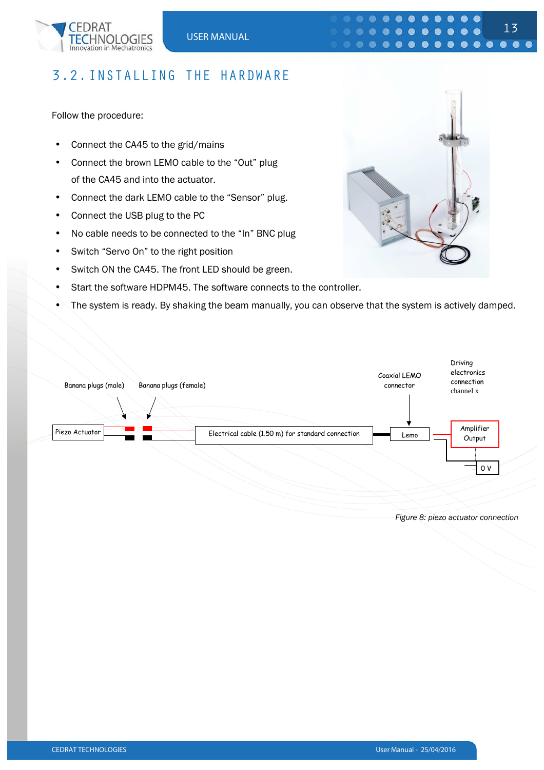

### 3.2.INSTALLING THE HARDWARE

Follow the procedure:

- Connect the CA45 to the grid/mains
- Connect the brown LEMO cable to the "Out" plug of the CA45 and into the actuator.
- Connect the dark LEMO cable to the "Sensor" plug.
- Connect the USB plug to the PC
- No cable needs to be connected to the "In" BNC plug
- Switch "Servo On" to the right position
- Switch ON the CA45. The front LED should be green.
- Start the software HDPM45. The software connects to the controller.
- The system is ready. By shaking the beam manually, you can observe that the system is actively damped.

 $\bullet$ 



*Figure 8: piezo actuator connection* 

13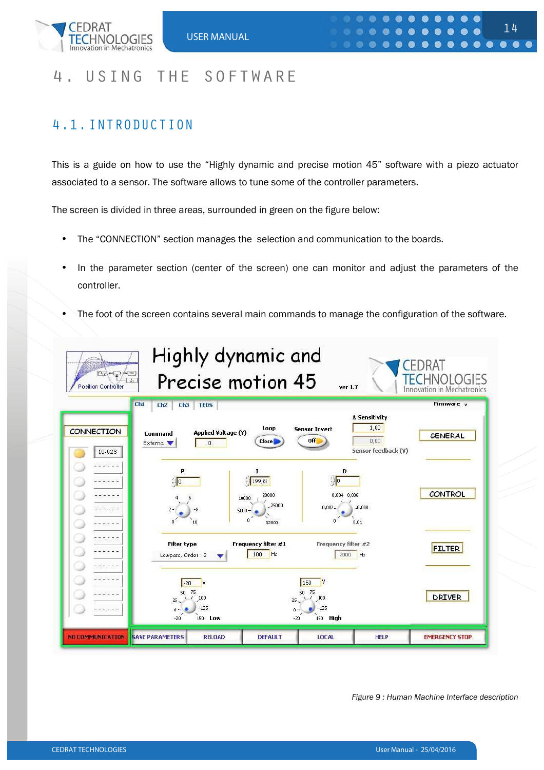

### 4. USING THE SOFTWARE

### 4.1.INTRODUCTION

This is a guide on how to use the "Highly dynamic and precise motion 45" software with a piezo actuator associated to a sensor. The software allows to tune some of the controller parameters.

The screen is divided in three areas, surrounded in green on the figure below:

- The "CONNECTION" section manages the selection and communication to the boards.
- In the parameter section (center of the screen) one can monitor and adjust the parameters of the controller.
- The foot of the screen contains several main commands to manage the configuration of the software.



*Figure 9 : Human Machine Interface description*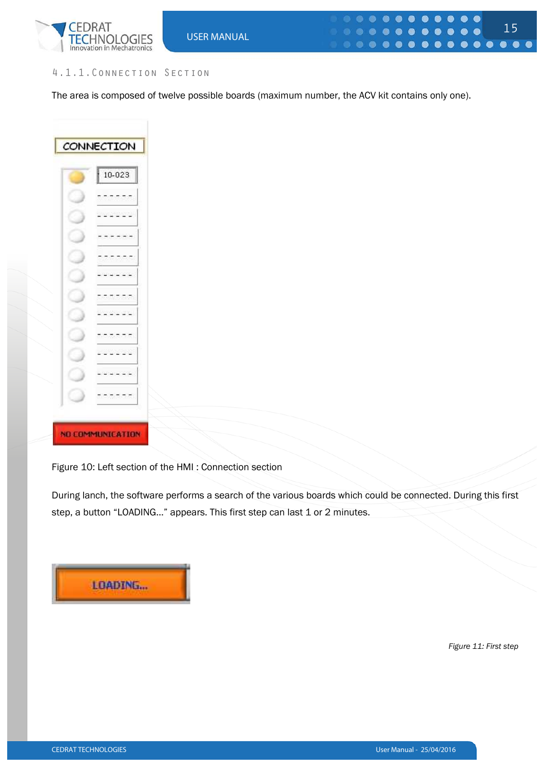

#### 4.1.1.Connection Section

The area is composed of twelve possible boards (maximum number, the ACV kit contains only one).

CONNECTION 10-023  $\sim$  $-$ وزيرير  $\sim$   $\sim$ **NO COMMUNICATION** 

Figure 10: Left section of the HMI : Connection section

During lanch, the software performs a search of the various boards which could be connected. During this first step, a button "LOADING..." appears. This first step can last 1 or 2 minutes.

**LOADING...** 

*Figure 11: First step*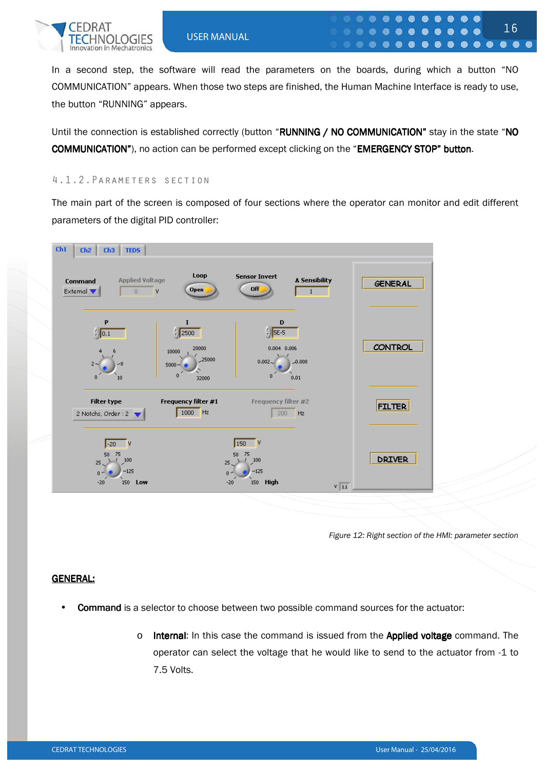

In a second step, the software will read the parameters on the boards, during which a button "NO COMMUNICATION" appears. When those two steps are finished, the Human Machine Interface is ready to use, the button "RUNNING" appears.

 $\bullet$ 

. . .

 $\bullet$ **88** 

Until the connection is established correctly (button "RUNNING / NO COMMUNICATION" stay in the state "NO COMMUNICATION"), no action can be performed except clicking on the "EMERGENCY STOP" button.

#### 4.1.2.Parameters section

The main part of the screen is composed of four sections where the operator can monitor and edit different parameters of the digital PID controller:



*Figure 12: Right section of the HMI: parameter section* 

16

 $0 0 0 0 0 0 0 0$ 

#### GENERAL:

- **Command** is a selector to choose between two possible command sources for the actuator:
	- $\circ$  Internal: In this case the command is issued from the Applied voltage command. The operator can select the voltage that he would like to send to the actuator from -1 to 7.5 Volts.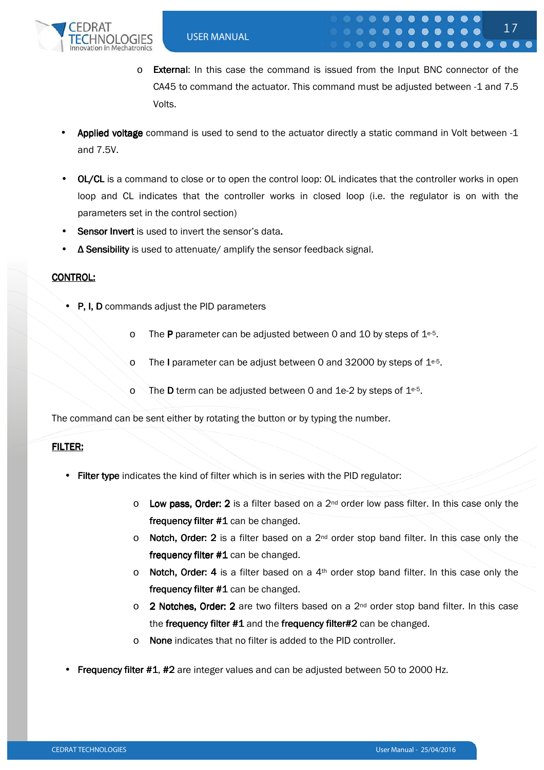

 $\circ$  **External:** In this case the command is issued from the Input BNC connector of the CA45 to command the actuator. This command must be adjusted between -1 and 7.5 Volts.

17

- Applied voltage command is used to send to the actuator directly a static command in Volt between -1 and 7.5V.
- **OL/CL** is a command to close or to open the control loop: OL indicates that the controller works in open loop and CL indicates that the controller works in closed loop (i.e. the regulator is on with the parameters set in the control section)
- **Sensor Invert** is used to invert the sensor's data.
- ∆ Sensibility is used to attenuate/ amplify the sensor feedback signal.

#### CONTROL:

- $\bullet$  P, I, D commands adjust the PID parameters
	- o The **P** parameter can be adjusted between 0 and 10 by steps of  $1e^{-5}$ .
	- o The I parameter can be adjust between 0 and 32000 by steps of  $1e^{5}$ .
	- o The **D** term can be adjusted between 0 and 1e-2 by steps of  $1e^{-5}$ .

The command can be sent either by rotating the button or by typing the number.

#### FILTER:

- Filter type indicates the kind of filter which is in series with the PID regulator:
	- $\circ$  Low pass, Order: 2 is a filter based on a  $2^{nd}$  order low pass filter. In this case only the frequency filter  $#1$  can be changed.
	- $\circ$  Notch, Order: 2 is a filter based on a 2<sup>nd</sup> order stop band filter. In this case only the frequency filter  $#1$  can be changed.
	- $\circ$  Notch, Order: 4 is a filter based on a 4<sup>th</sup> order stop band filter. In this case only the frequency filter  $#1$  can be changed.
	- $\circ$  2 Notches, Order: 2 are two filters based on a 2<sup>nd</sup> order stop band filter. In this case the frequency filter  $#1$  and the frequency filter $#2$  can be changed.
	- $\circ$  None indicates that no filter is added to the PID controller.
- **Frequency filter #1, #2** are integer values and can be adjusted between 50 to 2000 Hz.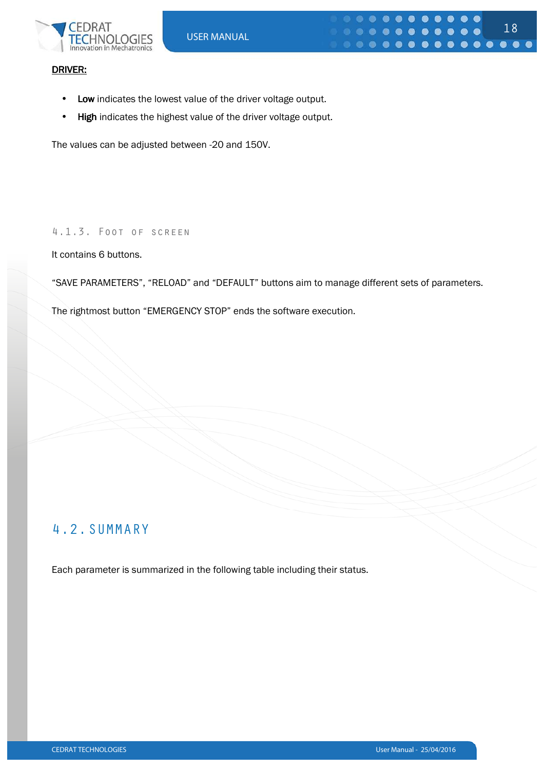

#### DRIVER:

- Low indicates the lowest value of the driver voltage output.
- High indicates the highest value of the driver voltage output.

The values can be adjusted between -20 and 150V.

#### 4.1.3. Foot of screen

It contains 6 buttons.

"SAVE PARAMETERS", "RELOAD" and "DEFAULT" buttons aim to manage different sets of parameters.

The rightmost button "EMERGENCY STOP" ends the software execution.

### 4.2.SUMMARY

Each parameter is summarized in the following table including their status.

18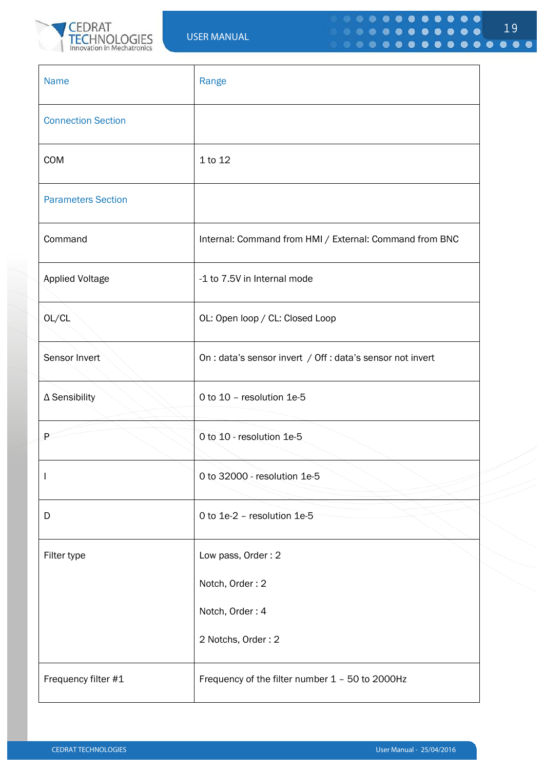

| <b>Name</b>               | Range                                                      |
|---------------------------|------------------------------------------------------------|
| <b>Connection Section</b> |                                                            |
| COM                       | 1 to 12                                                    |
| <b>Parameters Section</b> |                                                            |
| Command                   | Internal: Command from HMI / External: Command from BNC    |
| <b>Applied Voltage</b>    | -1 to 7.5V in Internal mode                                |
| OL/CL                     | OL: Open loop / CL: Closed Loop                            |
| Sensor Invert             | On : data's sensor invert / Off : data's sensor not invert |
| $\Delta$ Sensibility      | 0 to 10 - resolution 1e-5                                  |
| P                         | 0 to 10 - resolution 1e-5                                  |
| $\perp$                   | 0 to 32000 - resolution 1e-5                               |
| D                         | 0 to 1e-2 - resolution 1e-5                                |
| Filter type               | Low pass, Order: 2                                         |
|                           | Notch, Order: 2                                            |
|                           | Notch, Order: 4                                            |
|                           | 2 Notchs, Order: 2                                         |
| Frequency filter #1       | Frequency of the filter number 1 - 50 to 2000Hz            |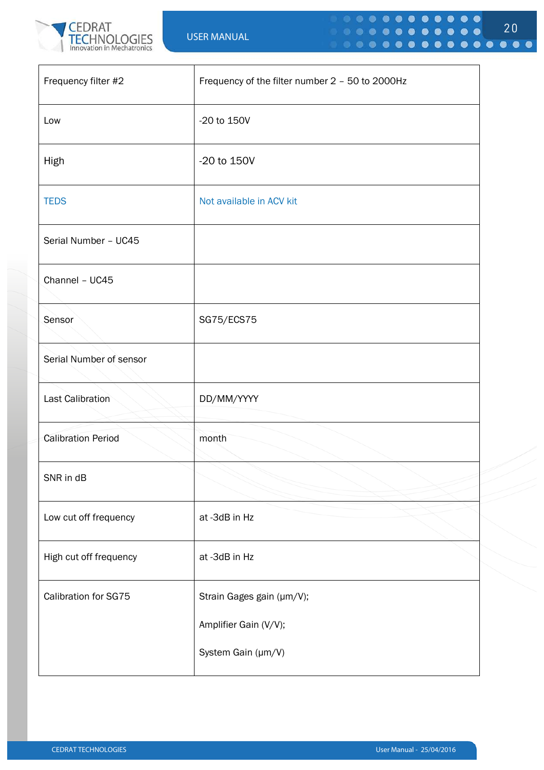

| Frequency filter #2       | Frequency of the filter number 2 - 50 to 2000Hz |
|---------------------------|-------------------------------------------------|
| Low                       | -20 to 150V                                     |
| High                      | -20 to 150V                                     |
| <b>TEDS</b>               | Not available in ACV kit                        |
| Serial Number - UC45      |                                                 |
| Channel - UC45            |                                                 |
| Sensor                    | SG75/ECS75                                      |
| Serial Number of sensor   |                                                 |
| <b>Last Calibration</b>   | DD/MM/YYYY                                      |
| <b>Calibration Period</b> | month                                           |
| SNR in dB                 |                                                 |
| Low cut off frequency     | at -3dB in Hz                                   |
| High cut off frequency    | at -3dB in Hz                                   |
| Calibration for SG75      | Strain Gages gain (µm/V);                       |
|                           | Amplifier Gain (V/V);                           |
|                           | System Gain (µm/V)                              |

20

 $0 0 0 0 0 0 0 0 0 0 0$ 

 $0.000000000000$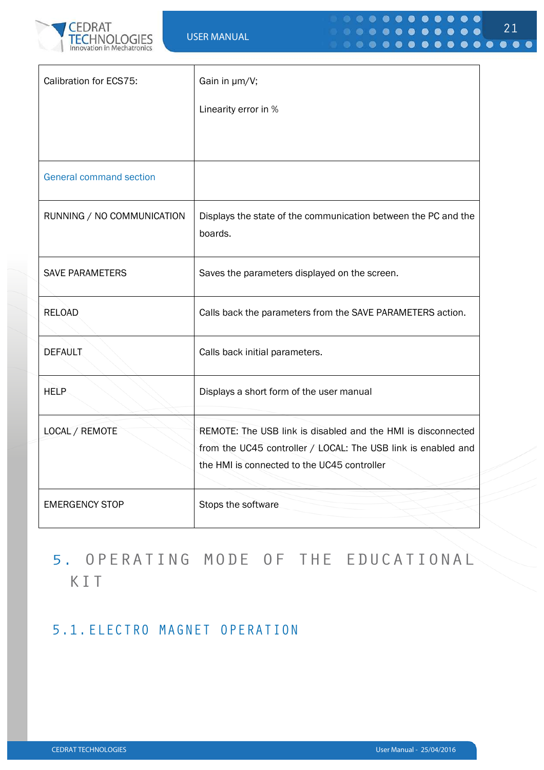

| Calibration for ECS75:         | Gain in µm/V;                                                                                                                                                                |
|--------------------------------|------------------------------------------------------------------------------------------------------------------------------------------------------------------------------|
|                                | Linearity error in %                                                                                                                                                         |
|                                |                                                                                                                                                                              |
| <b>General command section</b> |                                                                                                                                                                              |
| RUNNING / NO COMMUNICATION     | Displays the state of the communication between the PC and the<br>boards.                                                                                                    |
| <b>SAVE PARAMETERS</b>         | Saves the parameters displayed on the screen.                                                                                                                                |
| <b>RELOAD</b>                  | Calls back the parameters from the SAVE PARAMETERS action.                                                                                                                   |
| <b>DEFAULT</b>                 | Calls back initial parameters.                                                                                                                                               |
| <b>HELP</b>                    | Displays a short form of the user manual                                                                                                                                     |
| LOCAL / REMOTE                 | REMOTE: The USB link is disabled and the HMI is disconnected<br>from the UC45 controller / LOCAL: The USB link is enabled and<br>the HMI is connected to the UC45 controller |
| <b>EMERGENCY STOP</b>          | Stops the software                                                                                                                                                           |

# 5. OPERATING MODE OF THE EDUCATIONAL KIT

### 5.1.ELECTRO MAGNET OPERATION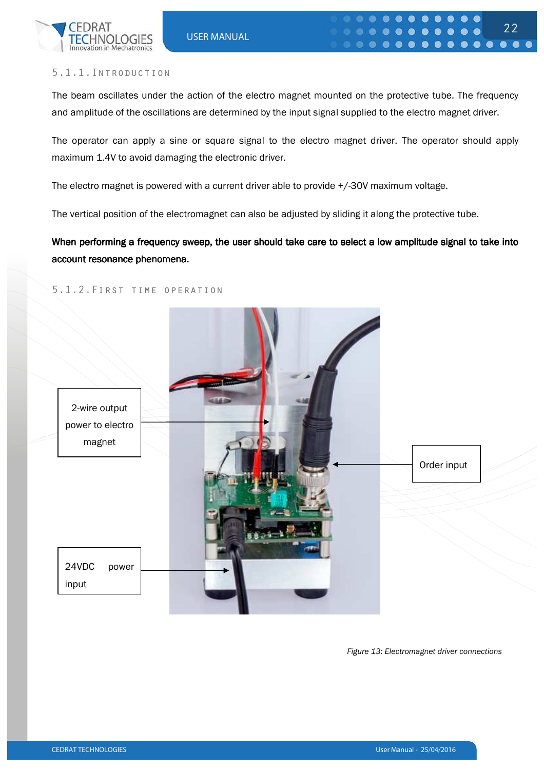

The beam oscillates under the action of the electro magnet mounted on the protective tube. The frequency and amplitude of the oscillations are determined by the input signal supplied to the electro magnet driver.

The operator can apply a sine or square signal to the electro magnet driver. The operator should apply maximum 1.4V to avoid damaging the electronic driver.

The electro magnet is powered with a current driver able to provide +/-30V maximum voltage.

The vertical position of the electromagnet can also be adjusted by sliding it along the protective tube.

When performing a frequency sweep, the user should take care to select a low amplitude signal to take into account resonance phenomena.

#### 5.1.2.First time operation



*Figure 13: Electromagnet driver connections*

22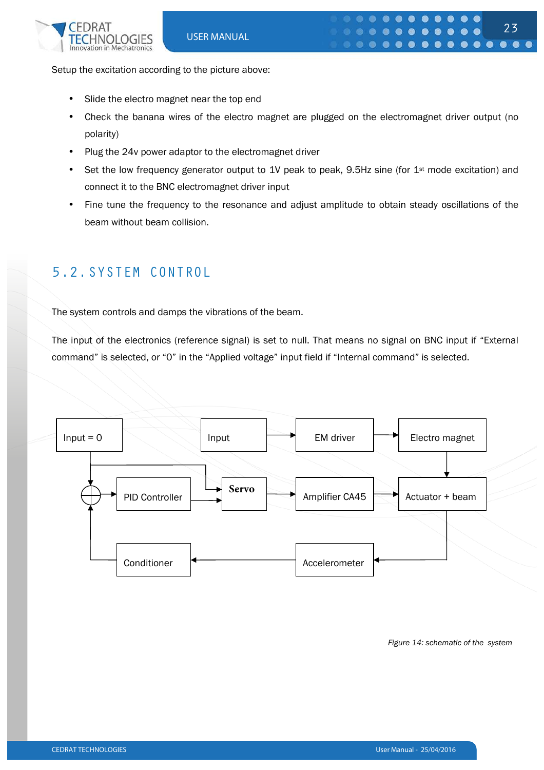

Setup the excitation according to the picture above:

- Slide the electro magnet near the top end
- Check the banana wires of the electro magnet are plugged on the electromagnet driver output (no polarity)
- Plug the 24v power adaptor to the electromagnet driver
- Set the low frequency generator output to 1V peak to peak, 9.5Hz sine (for 1<sup>st</sup> mode excitation) and connect it to the BNC electromagnet driver input
- Fine tune the frequency to the resonance and adjust amplitude to obtain steady oscillations of the beam without beam collision.

### 5.2.SYSTEM CONTROL

The system controls and damps the vibrations of the beam.

The input of the electronics (reference signal) is set to null. That means no signal on BNC input if "External command" is selected, or "0" in the "Applied voltage" input field if "Internal command" is selected.



*Figure 14: schematic of the system*

23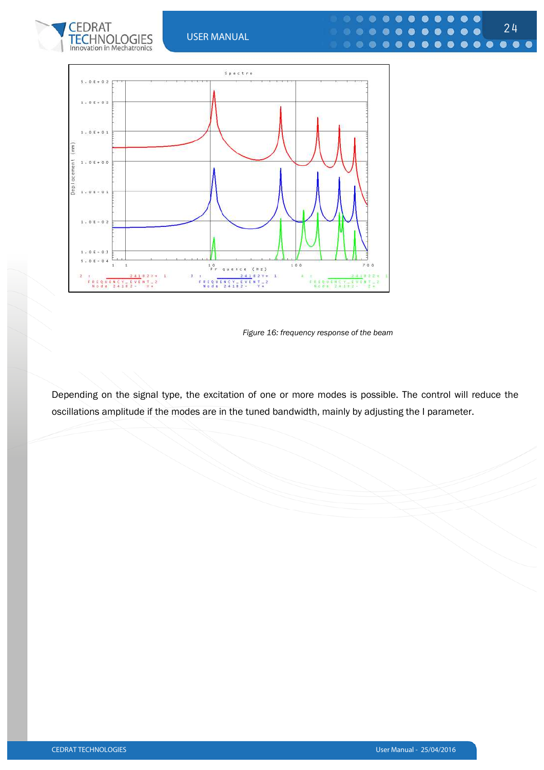





*Figure 16: frequency response of the beam* 

Depending on the signal type, the excitation of one or more modes is possible. The control will reduce the oscillations amplitude if the modes are in the tuned bandwidth, mainly by adjusting the I parameter.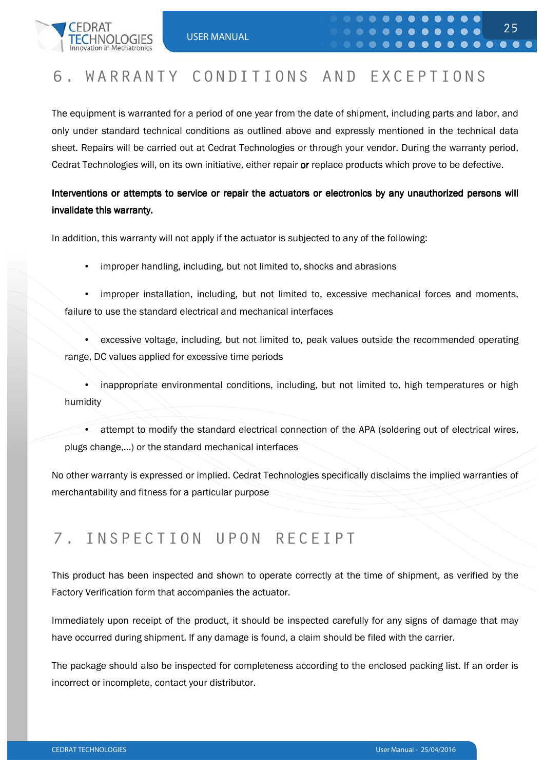

### 6. WARRANTY CONDITIONS AND EXCEPTIONS

The equipment is warranted for a period of one year from the date of shipment, including parts and labor, and only under standard technical conditions as outlined above and expressly mentioned in the technical data sheet. Repairs will be carried out at Cedrat Technologies or through your vendor. During the warranty period, Cedrat Technologies will, on its own initiative, either repair or replace products which prove to be defective.

### Interventions or attempts to service or repair the actuators or electronics by any unauthorized persons will invalidate this warranty.

In addition, this warranty will not apply if the actuator is subjected to any of the following:

- improper handling, including, but not limited to, shocks and abrasions
- improper installation, including, but not limited to, excessive mechanical forces and moments, failure to use the standard electrical and mechanical interfaces
- excessive voltage, including, but not limited to, peak values outside the recommended operating range, DC values applied for excessive time periods

• inappropriate environmental conditions, including, but not limited to, high temperatures or high humidity

• attempt to modify the standard electrical connection of the APA (soldering out of electrical wires, plugs change,…) or the standard mechanical interfaces

No other warranty is expressed or implied. Cedrat Technologies specifically disclaims the implied warranties of merchantability and fitness for a particular purpose

### 7. INSPECTION UPON RECEIPT

This product has been inspected and shown to operate correctly at the time of shipment, as verified by the Factory Verification form that accompanies the actuator.

Immediately upon receipt of the product, it should be inspected carefully for any signs of damage that may have occurred during shipment. If any damage is found, a claim should be filed with the carrier.

The package should also be inspected for completeness according to the enclosed packing list. If an order is incorrect or incomplete, contact your distributor.

25

 $0 0 0 0 0 0 0 0 0 0 0 0$